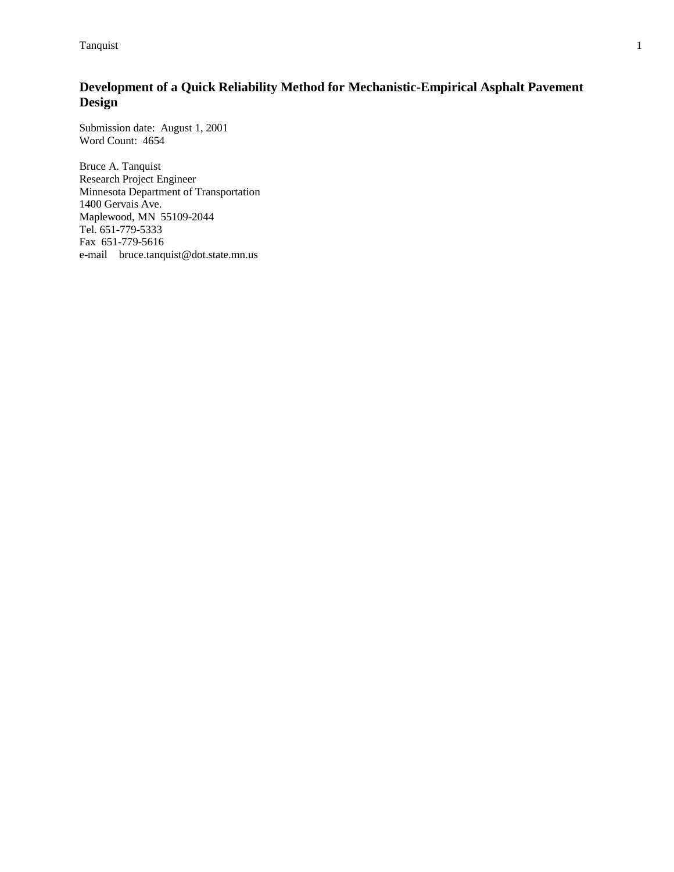**Tanquist** 1

# **Development of a Quick Reliability Method for Mechanistic-Empirical Asphalt Pavement Design**

Submission date: August 1, 2001 Word Count: 4654

Bruce A. Tanquist Research Project Engineer Minnesota Department of Transportation 1400 Gervais Ave. Maplewood, MN 55109-2044 Tel. 651-779-5333 Fax 651-779-5616 e-mail bruce.tanquist@dot.state.mn.us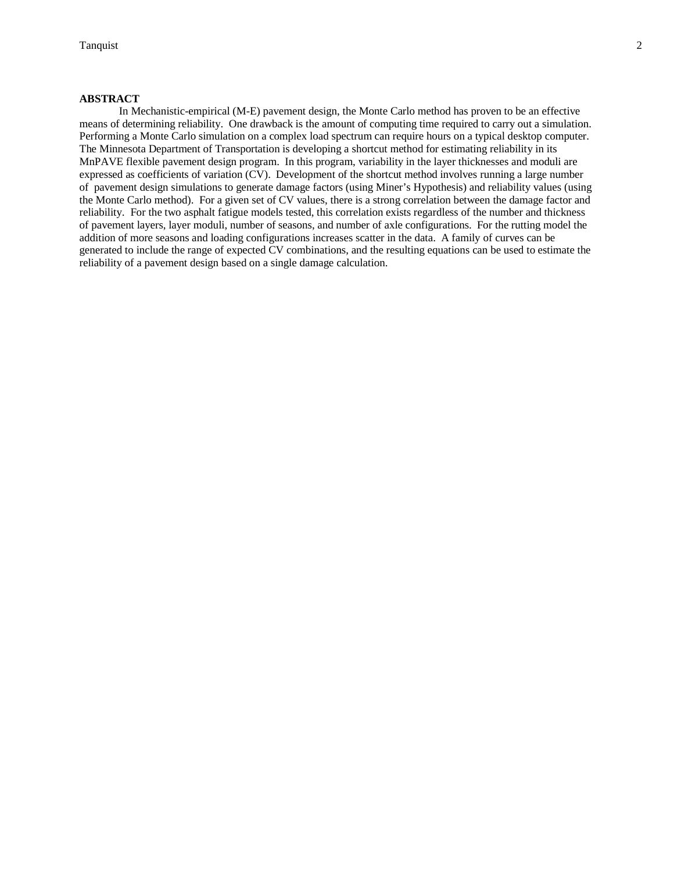### **ABSTRACT**

 In Mechanistic-empirical (M-E) pavement design, the Monte Carlo method has proven to be an effective means of determining reliability. One drawback is the amount of computing time required to carry out a simulation. Performing a Monte Carlo simulation on a complex load spectrum can require hours on a typical desktop computer. The Minnesota Department of Transportation is developing a shortcut method for estimating reliability in its MnPAVE flexible pavement design program. In this program, variability in the layer thicknesses and moduli are expressed as coefficients of variation (CV). Development of the shortcut method involves running a large number of pavement design simulations to generate damage factors (using Miner's Hypothesis) and reliability values (using the Monte Carlo method). For a given set of CV values, there is a strong correlation between the damage factor and reliability. For the two asphalt fatigue models tested, this correlation exists regardless of the number and thickness of pavement layers, layer moduli, number of seasons, and number of axle configurations. For the rutting model the addition of more seasons and loading configurations increases scatter in the data. A family of curves can be generated to include the range of expected CV combinations, and the resulting equations can be used to estimate the reliability of a pavement design based on a single damage calculation.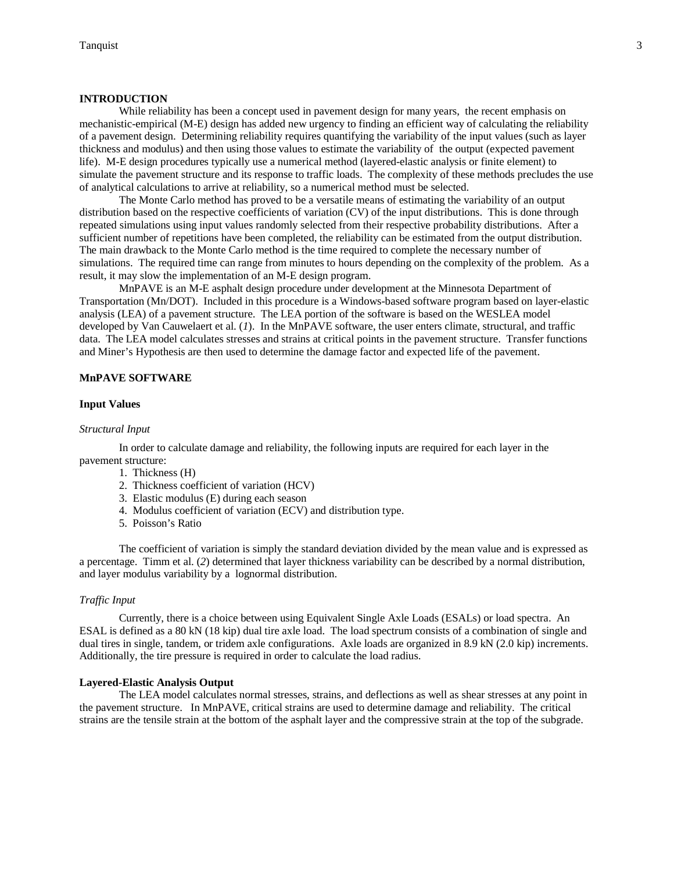#### **INTRODUCTION**

While reliability has been a concept used in pavement design for many years, the recent emphasis on mechanistic-empirical (M-E) design has added new urgency to finding an efficient way of calculating the reliability of a pavement design. Determining reliability requires quantifying the variability of the input values (such as layer thickness and modulus) and then using those values to estimate the variability of the output (expected pavement life). M-E design procedures typically use a numerical method (layered-elastic analysis or finite element) to simulate the pavement structure and its response to traffic loads. The complexity of these methods precludes the use of analytical calculations to arrive at reliability, so a numerical method must be selected.

 The Monte Carlo method has proved to be a versatile means of estimating the variability of an output distribution based on the respective coefficients of variation (CV) of the input distributions. This is done through repeated simulations using input values randomly selected from their respective probability distributions. After a sufficient number of repetitions have been completed, the reliability can be estimated from the output distribution. The main drawback to the Monte Carlo method is the time required to complete the necessary number of simulations. The required time can range from minutes to hours depending on the complexity of the problem. As a result, it may slow the implementation of an M-E design program.

 MnPAVE is an M-E asphalt design procedure under development at the Minnesota Department of Transportation (Mn/DOT). Included in this procedure is a Windows-based software program based on layer-elastic analysis (LEA) of a pavement structure. The LEA portion of the software is based on the WESLEA model developed by Van Cauwelaert et al. (*1*). In the MnPAVE software, the user enters climate, structural, and traffic data. The LEA model calculates stresses and strains at critical points in the pavement structure. Transfer functions and Miner's Hypothesis are then used to determine the damage factor and expected life of the pavement.

#### **MnPAVE SOFTWARE**

#### **Input Values**

#### *Structural Input*

 In order to calculate damage and reliability, the following inputs are required for each layer in the pavement structure:

- 1. Thickness (H)
- 2. Thickness coefficient of variation (HCV)
- 3. Elastic modulus (E) during each season
- 4. Modulus coefficient of variation (ECV) and distribution type.
- 5. Poisson's Ratio

 The coefficient of variation is simply the standard deviation divided by the mean value and is expressed as a percentage. Timm et al. (*2*) determined that layer thickness variability can be described by a normal distribution, and layer modulus variability by a lognormal distribution.

#### *Traffic Input*

 Currently, there is a choice between using Equivalent Single Axle Loads (ESALs) or load spectra. An ESAL is defined as a 80 kN (18 kip) dual tire axle load. The load spectrum consists of a combination of single and dual tires in single, tandem, or tridem axle configurations. Axle loads are organized in 8.9 kN (2.0 kip) increments. Additionally, the tire pressure is required in order to calculate the load radius.

#### **Layered-Elastic Analysis Output**

 The LEA model calculates normal stresses, strains, and deflections as well as shear stresses at any point in the pavement structure. In MnPAVE, critical strains are used to determine damage and reliability. The critical strains are the tensile strain at the bottom of the asphalt layer and the compressive strain at the top of the subgrade.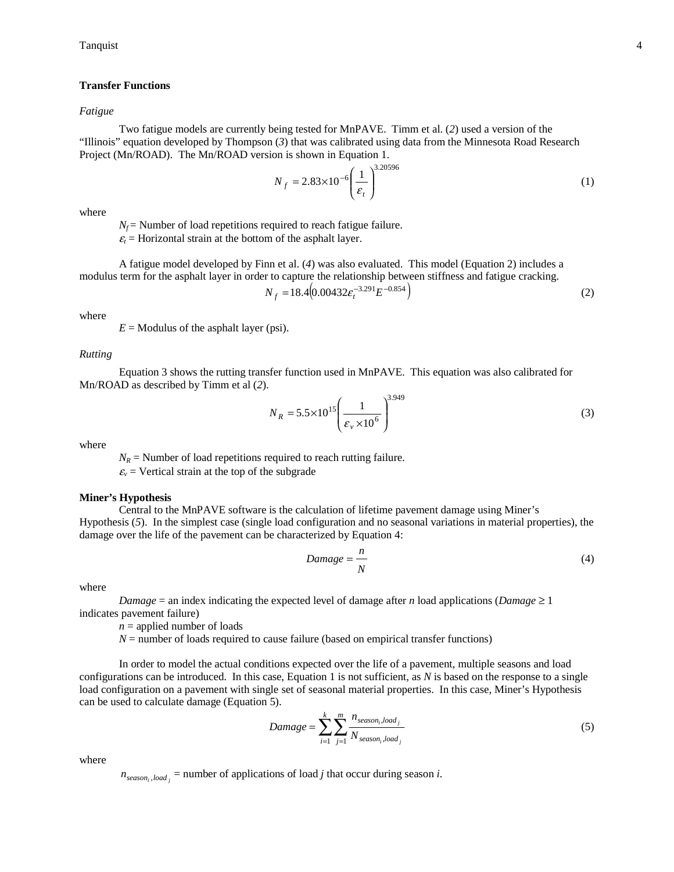### **Transfer Functions**

#### *Fatigue*

 Two fatigue models are currently being tested for MnPAVE. Timm et al. (*2*) used a version of the "Illinois" equation developed by Thompson (*3*) that was calibrated using data from the Minnesota Road Research Project (Mn/ROAD). The Mn/ROAD version is shown in Equation 1.

$$
N_f = 2.83 \times 10^{-6} \left(\frac{1}{\varepsilon_t}\right)^{3.20596} \tag{1}
$$

where

 $N_f$  = Number of load repetitions required to reach fatigue failure.

 $\varepsilon_t$  = Horizontal strain at the bottom of the asphalt layer.

A fatigue model developed by Finn et al. (*4*) was also evaluated. This model (Equation 2) includes a modulus term for the asphalt layer in order to capture the relationship between stiffness and fatigue cracking.

$$
N_f = 18.4(0.00432\epsilon_t^{-3.291} E^{-0.854})
$$
\n(2)

where

 $E =$  Modulus of the asphalt layer (psi).

#### *Rutting*

 Equation 3 shows the rutting transfer function used in MnPAVE. This equation was also calibrated for Mn/ROAD as described by Timm et al (*2*).

$$
N_R = 5.5 \times 10^{15} \left(\frac{1}{\varepsilon_v \times 10^6}\right)^{3.949} \tag{3}
$$

where

 $N_R$  = Number of load repetitions required to reach rutting failure.

 $\varepsilon$ <sub>*v*</sub> = Vertical strain at the top of the subgrade

### **Miner's Hypothesis**

 Central to the MnPAVE software is the calculation of lifetime pavement damage using Miner's Hypothesis (*5*). In the simplest case (single load configuration and no seasonal variations in material properties), the damage over the life of the pavement can be characterized by Equation 4:

$$
Damage = \frac{n}{N} \tag{4}
$$

where

*Damage* = an index indicating the expected level of damage after *n* load applications (*Damage*  $\geq 1$ indicates pavement failure)

 $n =$  applied number of loads

 $N =$  number of loads required to cause failure (based on empirical transfer functions)

 In order to model the actual conditions expected over the life of a pavement, multiple seasons and load configurations can be introduced. In this case, Equation 1 is not sufficient, as *N* is based on the response to a single load configuration on a pavement with single set of seasonal material properties. In this case, Miner's Hypothesis can be used to calculate damage (Equation 5).

$$
Damage = \sum_{i=1}^{k} \sum_{j=1}^{m} \frac{n_{season_i, load_j}}{N_{season_i, load_j}}
$$
(5)

where

 $n_{season_i, load_i}$  = number of applications of load *j* that occur during season *i*.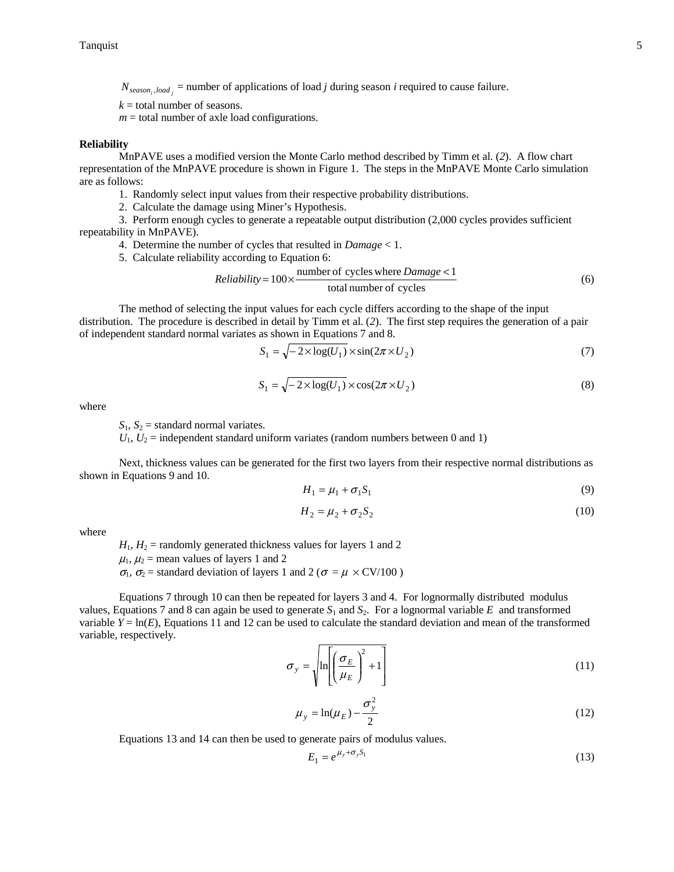$N_{season_i, load_i}$  = number of applications of load *j* during season *i* required to cause failure.

 $k =$  total number of seasons.

 $m =$  total number of axle load configurations.

#### **Reliability**

 MnPAVE uses a modified version the Monte Carlo method described by Timm et al. (*2*). A flow chart representation of the MnPAVE procedure is shown in Figure 1. The steps in the MnPAVE Monte Carlo simulation are as follows:

1. Randomly select input values from their respective probability distributions.

2. Calculate the damage using Miner's Hypothesis.

 3. Perform enough cycles to generate a repeatable output distribution (2,000 cycles provides sufficient repeatability in MnPAVE).

4. Determine the number of cycles that resulted in *Damage* < 1.

5. Calculate reliability according to Equation 6:

*Reliability* = 
$$
100 \times \frac{\text{number of cycles where } \text{Damage} < 1}{\text{total number of cycles}}
$$
 (6)

 The method of selecting the input values for each cycle differs according to the shape of the input distribution. The procedure is described in detail by Timm et al. (*2*). The first step requires the generation of a pair of independent standard normal variates as shown in Equations 7 and 8.

$$
S_1 = \sqrt{-2 \times \log(U_1) \times \sin(2\pi \times U_2)}\tag{7}
$$

$$
S_1 = \sqrt{-2 \times \log(U_1)} \times \cos(2\pi \times U_2)
$$
\n(8)

where

 $S_1$ ,  $S_2$  = standard normal variates.

 $U_1, U_2$  = independent standard uniform variates (random numbers between 0 and 1)

 Next, thickness values can be generated for the first two layers from their respective normal distributions as shown in Equations 9 and 10.

$$
H_1 = \mu_1 + \sigma_1 S_1 \tag{9}
$$

$$
H_2 = \mu_2 + \sigma_2 S_2 \tag{10}
$$

where

 $H_1$ ,  $H_2$  = randomly generated thickness values for layers 1 and 2

 $\mu_1$ ,  $\mu_2$  = mean values of layers 1 and 2

 $\sigma_1$ ,  $\sigma_2$  = standard deviation of layers 1 and 2 ( $\sigma = \mu \times CV/100$ )

 Equations 7 through 10 can then be repeated for layers 3 and 4. For lognormally distributed modulus values, Equations 7 and 8 can again be used to generate  $S_1$  and  $S_2$ . For a lognormal variable E and transformed variable  $Y = \ln(E)$ , Equations 11 and 12 can be used to calculate the standard deviation and mean of the transformed variable, respectively.

$$
\sigma_y = \sqrt{\ln\left[\left(\frac{\sigma_E}{\mu_E}\right)^2 + 1\right]}
$$
\n(11)

$$
\mu_y = \ln(\mu_E) - \frac{\sigma_y^2}{2} \tag{12}
$$

Equations 13 and 14 can then be used to generate pairs of modulus values.

$$
E_1 = e^{\mu_y + \sigma_y S_1} \tag{13}
$$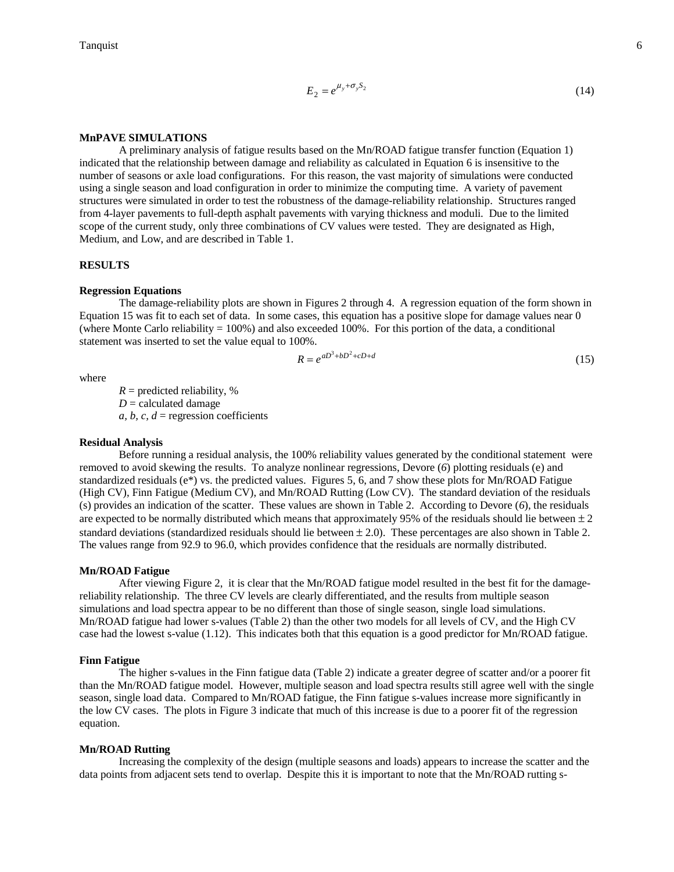$$
E_2 = e^{\mu_y + \sigma_y S_2} \tag{14}
$$

### **MnPAVE SIMULATIONS**

 A preliminary analysis of fatigue results based on the Mn/ROAD fatigue transfer function (Equation 1) indicated that the relationship between damage and reliability as calculated in Equation 6 is insensitive to the number of seasons or axle load configurations. For this reason, the vast majority of simulations were conducted using a single season and load configuration in order to minimize the computing time. A variety of pavement structures were simulated in order to test the robustness of the damage-reliability relationship. Structures ranged from 4-layer pavements to full-depth asphalt pavements with varying thickness and moduli. Due to the limited scope of the current study, only three combinations of CV values were tested. They are designated as High, Medium, and Low, and are described in Table 1.

### **RESULTS**

### **Regression Equations**

 The damage-reliability plots are shown in Figures 2 through 4. A regression equation of the form shown in Equation 15 was fit to each set of data. In some cases, this equation has a positive slope for damage values near 0 (where Monte Carlo reliability  $= 100\%$ ) and also exceeded 100%. For this portion of the data, a conditional statement was inserted to set the value equal to 100%.

$$
R = e^{aD^3 + bD^2 + cD + d} \tag{15}
$$

where

 $R =$  predicted reliability, %  $D =$  calculated damage  $a, b, c, d$  = regression coefficients

#### **Residual Analysis**

 Before running a residual analysis, the 100% reliability values generated by the conditional statement were removed to avoid skewing the results. To analyze nonlinear regressions, Devore (*6*) plotting residuals (e) and standardized residuals ( $e^*$ ) vs. the predicted values. Figures 5, 6, and 7 show these plots for Mn/ROAD Fatigue (High CV), Finn Fatigue (Medium CV), and Mn/ROAD Rutting (Low CV). The standard deviation of the residuals (s) provides an indication of the scatter. These values are shown in Table 2. According to Devore (*6*), the residuals are expected to be normally distributed which means that approximately 95% of the residuals should lie between  $\pm 2$ standard deviations (standardized residuals should lie between  $\pm$  2.0). These percentages are also shown in Table 2. The values range from 92.9 to 96.0, which provides confidence that the residuals are normally distributed.

## **Mn/ROAD Fatigue**

 After viewing Figure 2, it is clear that the Mn/ROAD fatigue model resulted in the best fit for the damagereliability relationship. The three CV levels are clearly differentiated, and the results from multiple season simulations and load spectra appear to be no different than those of single season, single load simulations. Mn/ROAD fatigue had lower s-values (Table 2) than the other two models for all levels of CV, and the High CV case had the lowest s-value (1.12). This indicates both that this equation is a good predictor for Mn/ROAD fatigue.

### **Finn Fatigue**

 The higher s-values in the Finn fatigue data (Table 2) indicate a greater degree of scatter and/or a poorer fit than the Mn/ROAD fatigue model. However, multiple season and load spectra results still agree well with the single season, single load data. Compared to Mn/ROAD fatigue, the Finn fatigue s-values increase more significantly in the low CV cases. The plots in Figure 3 indicate that much of this increase is due to a poorer fit of the regression equation.

#### **Mn/ROAD Rutting**

 Increasing the complexity of the design (multiple seasons and loads) appears to increase the scatter and the data points from adjacent sets tend to overlap. Despite this it is important to note that the Mn/ROAD rutting s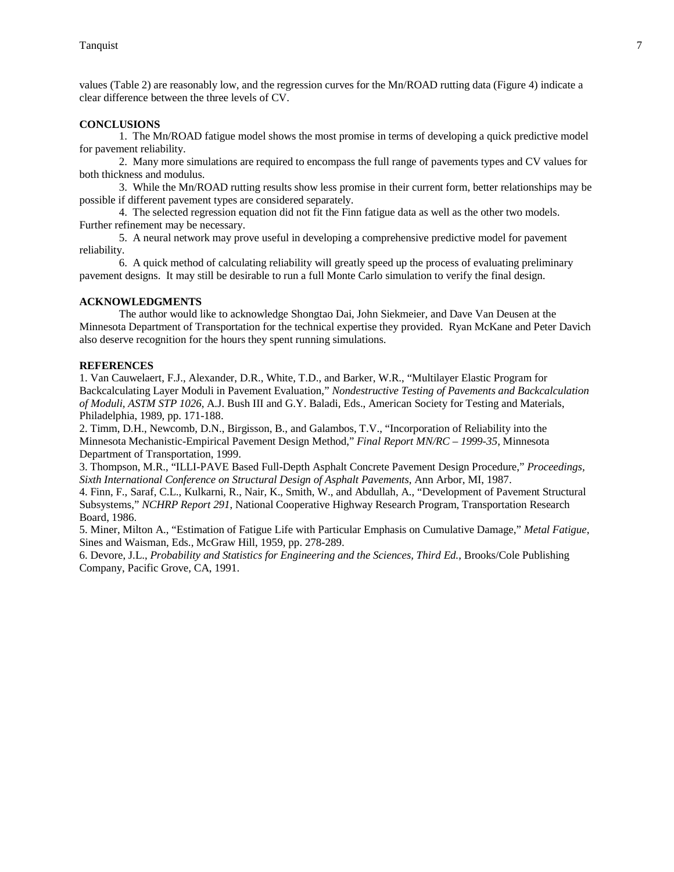values (Table 2) are reasonably low, and the regression curves for the Mn/ROAD rutting data (Figure 4) indicate a clear difference between the three levels of CV.

### **CONCLUSIONS**

 1. The Mn/ROAD fatigue model shows the most promise in terms of developing a quick predictive model for pavement reliability.

 2. Many more simulations are required to encompass the full range of pavements types and CV values for both thickness and modulus.

 3. While the Mn/ROAD rutting results show less promise in their current form, better relationships may be possible if different pavement types are considered separately.

 4. The selected regression equation did not fit the Finn fatigue data as well as the other two models. Further refinement may be necessary.

 5. A neural network may prove useful in developing a comprehensive predictive model for pavement reliability.

 6. A quick method of calculating reliability will greatly speed up the process of evaluating preliminary pavement designs. It may still be desirable to run a full Monte Carlo simulation to verify the final design.

### **ACKNOWLEDGMENTS**

 The author would like to acknowledge Shongtao Dai, John Siekmeier, and Dave Van Deusen at the Minnesota Department of Transportation for the technical expertise they provided. Ryan McKane and Peter Davich also deserve recognition for the hours they spent running simulations.

### **REFERENCES**

1. Van Cauwelaert, F.J., Alexander, D.R., White, T.D., and Barker, W.R., "Multilayer Elastic Program for Backcalculating Layer Moduli in Pavement Evaluation," *Nondestructive Testing of Pavements and Backcalculation of Moduli, ASTM STP 1026*, A.J. Bush III and G.Y. Baladi, Eds., American Society for Testing and Materials, Philadelphia, 1989, pp. 171-188.

2. Timm, D.H., Newcomb, D.N., Birgisson, B., and Galambos, T.V., "Incorporation of Reliability into the Minnesota Mechanistic-Empirical Pavement Design Method," *Final Report MN/RC – 1999-35*, Minnesota Department of Transportation, 1999.

3. Thompson, M.R., "ILLI-PAVE Based Full-Depth Asphalt Concrete Pavement Design Procedure," *Proceedings, Sixth International Conference on Structural Design of Asphalt Pavements*, Ann Arbor, MI, 1987.

4. Finn, F., Saraf, C.L., Kulkarni, R., Nair, K., Smith, W., and Abdullah, A., "Development of Pavement Structural Subsystems," *NCHRP Report 291*, National Cooperative Highway Research Program, Transportation Research Board, 1986.

5. Miner, Milton A., "Estimation of Fatigue Life with Particular Emphasis on Cumulative Damage," *Metal Fatigue*, Sines and Waisman, Eds., McGraw Hill, 1959, pp. 278-289.

6. Devore, J.L., *Probability and Statistics for Engineering and the Sciences, Third Ed.*, Brooks/Cole Publishing Company, Pacific Grove, CA, 1991.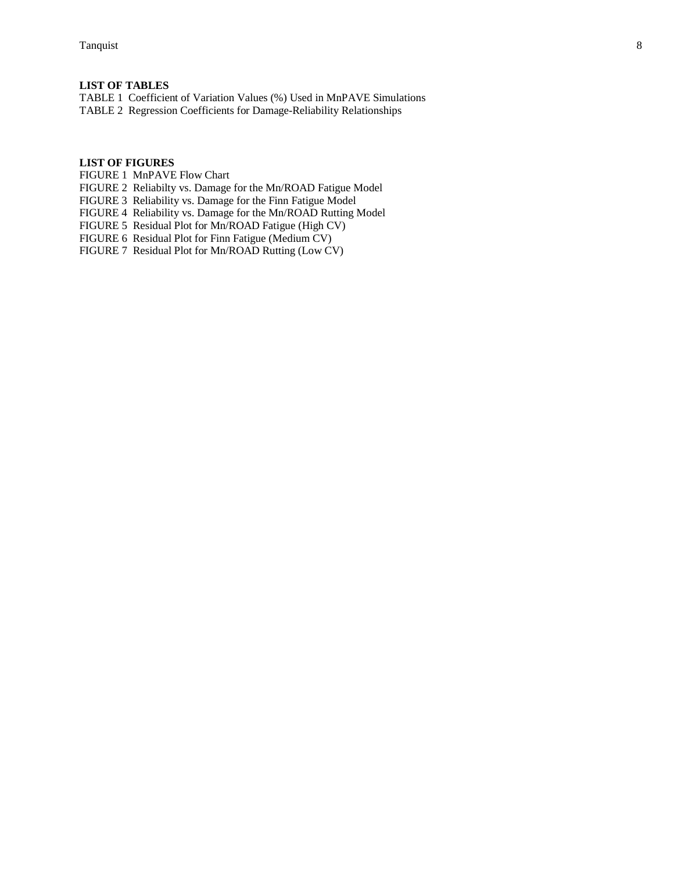# **LIST OF TABLES**

TABLE 1 Coefficient of Variation Values (%) Used in MnPAVE Simulations TABLE 2 Regression Coefficients for Damage-Reliability Relationships

# **LIST OF FIGURES**

FIGURE 1 MnPAVE Flow Chart

FIGURE 2 Reliabilty vs. Damage for the Mn/ROAD Fatigue Model

FIGURE 3 Reliability vs. Damage for the Finn Fatigue Model

FIGURE 4 Reliability vs. Damage for the Mn/ROAD Rutting Model

FIGURE 5 Residual Plot for Mn/ROAD Fatigue (High CV)

FIGURE 6 Residual Plot for Finn Fatigue (Medium CV)

FIGURE 7 Residual Plot for Mn/ROAD Rutting (Low CV)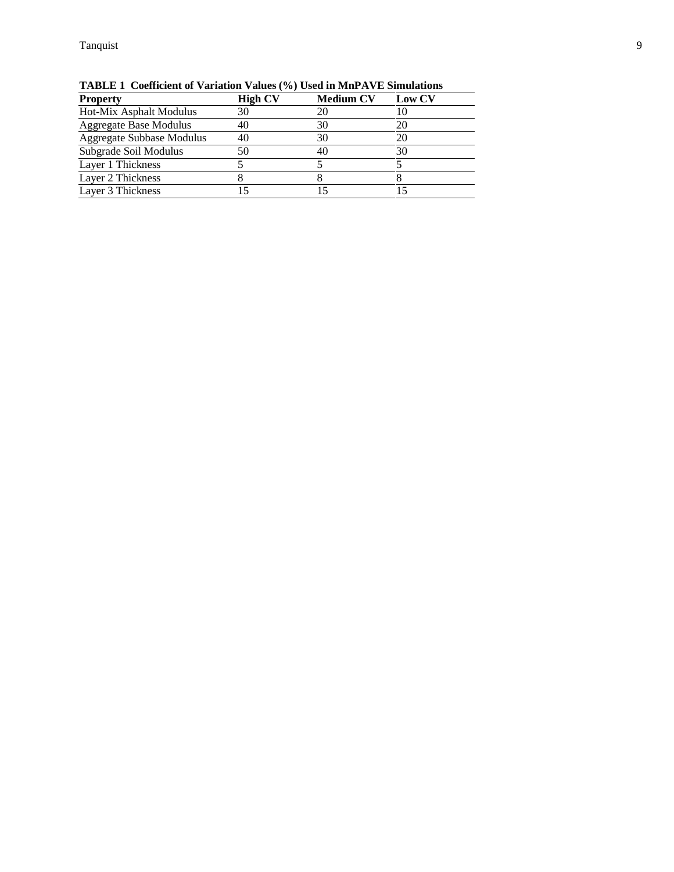| <b>Property</b>               | <b>High CV</b> | <b>Medium CV</b> | <b>Low CV</b> |
|-------------------------------|----------------|------------------|---------------|
| Hot-Mix Asphalt Modulus       | 30             | 20               | 10            |
| <b>Aggregate Base Modulus</b> | 40             | 30               | 20            |
| Aggregate Subbase Modulus     | 40             | 30               | 20            |
| Subgrade Soil Modulus         | 50             | 40               | 30            |
| Layer 1 Thickness             |                |                  |               |
| Layer 2 Thickness             |                |                  |               |
| Layer 3 Thickness             |                |                  |               |

**TABLE 1 Coefficient of Variation Values (%) Used in MnPAVE Simulations**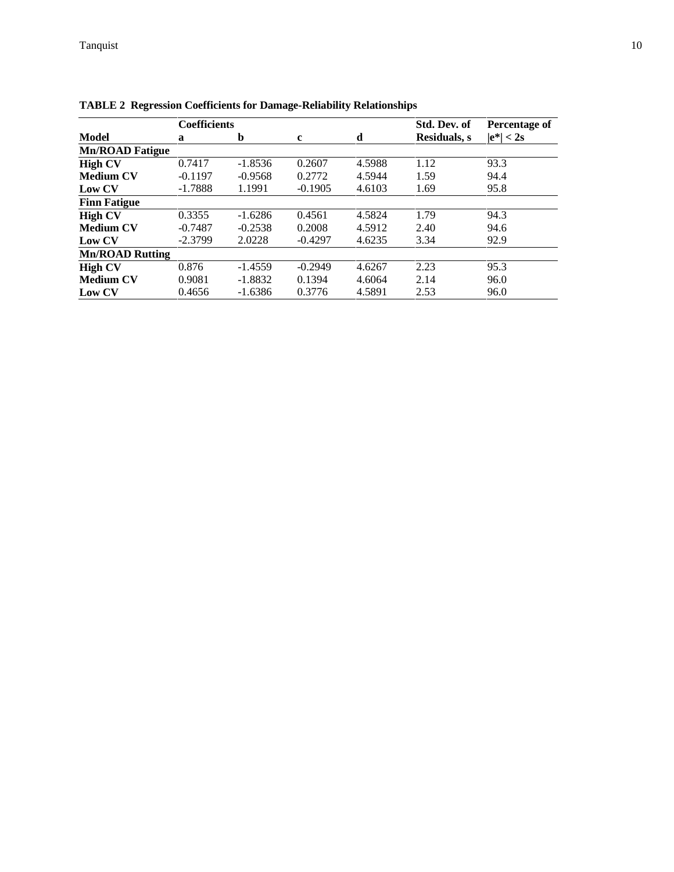|                        | <b>Coefficients</b> |           | Std. Dev. of | Percentage of |                      |              |
|------------------------|---------------------|-----------|--------------|---------------|----------------------|--------------|
| <b>Model</b>           | a                   | b         | $\mathbf c$  | d             | <b>Residuals</b> , s | $ e^*  < 2s$ |
| <b>Mn/ROAD Fatigue</b> |                     |           |              |               |                      |              |
| <b>High CV</b>         | 0.7417              | $-1.8536$ | 0.2607       | 4.5988        | 1.12                 | 93.3         |
| <b>Medium CV</b>       | $-0.1197$           | $-0.9568$ | 0.2772       | 4.5944        | 1.59                 | 94.4         |
| Low CV                 | $-1.7888$           | 1.1991    | $-0.1905$    | 4.6103        | 1.69                 | 95.8         |
| <b>Finn Fatigue</b>    |                     |           |              |               |                      |              |
| <b>High CV</b>         | 0.3355              | $-1.6286$ | 0.4561       | 4.5824        | 1.79                 | 94.3         |
| <b>Medium CV</b>       | $-0.7487$           | $-0.2538$ | 0.2008       | 4.5912        | 2.40                 | 94.6         |
| Low CV                 | $-2.3799$           | 2.0228    | $-0.4297$    | 4.6235        | 3.34                 | 92.9         |
| <b>Mn/ROAD Rutting</b> |                     |           |              |               |                      |              |
| <b>High CV</b>         | 0.876               | $-1.4559$ | $-0.2949$    | 4.6267        | 2.23                 | 95.3         |
| <b>Medium CV</b>       | 0.9081              | $-1.8832$ | 0.1394       | 4.6064        | 2.14                 | 96.0         |
| Low CV                 | 0.4656              | $-1.6386$ | 0.3776       | 4.5891        | 2.53                 | 96.0         |

**TABLE 2 Regression Coefficients for Damage-Reliability Relationships**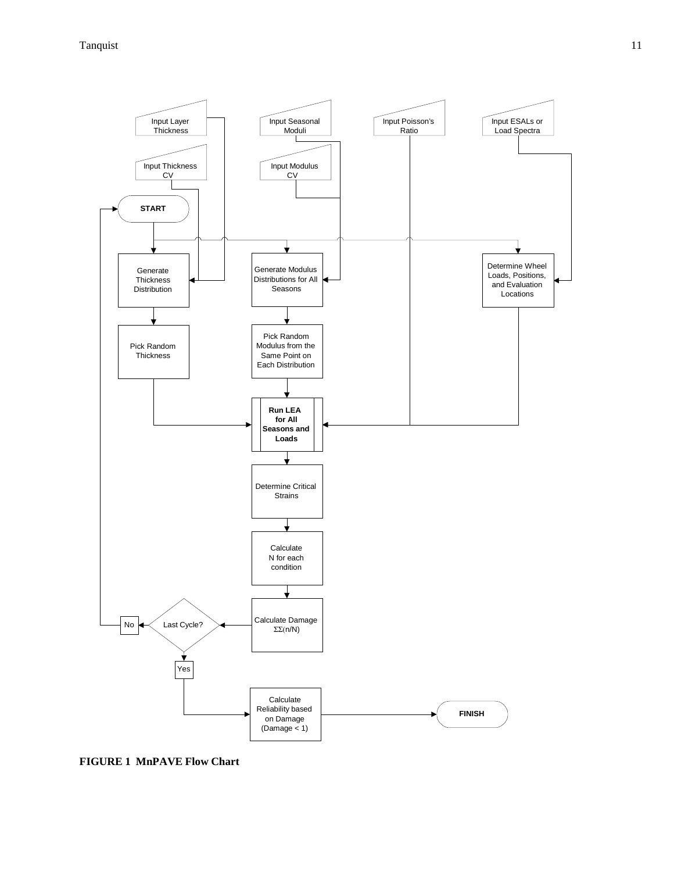### Tanquist 11



**FIGURE 1 MnPAVE Flow Chart**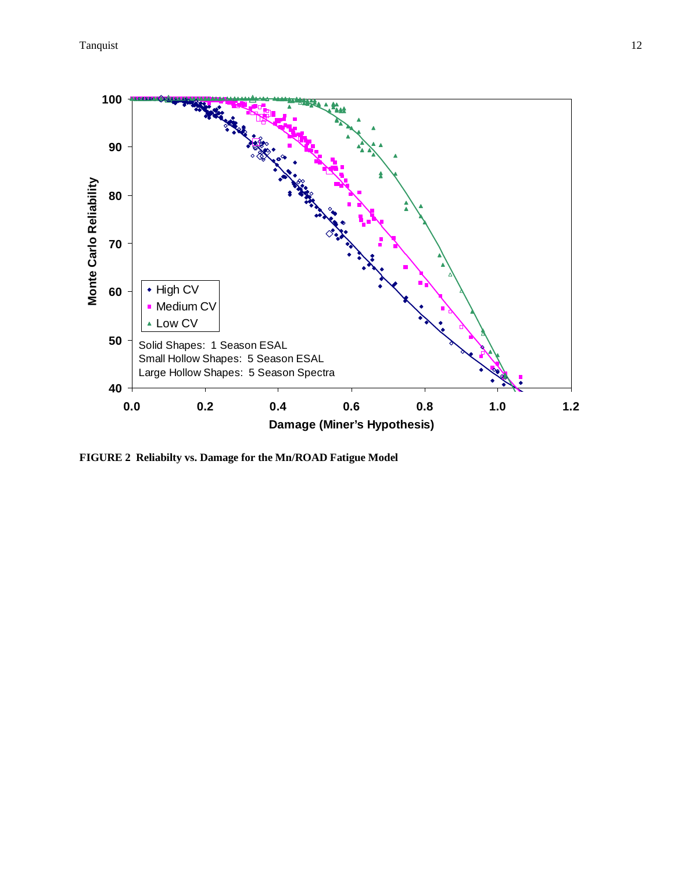

**FIGURE 2 Reliabilty vs. Damage for the Mn/ROAD Fatigue Model**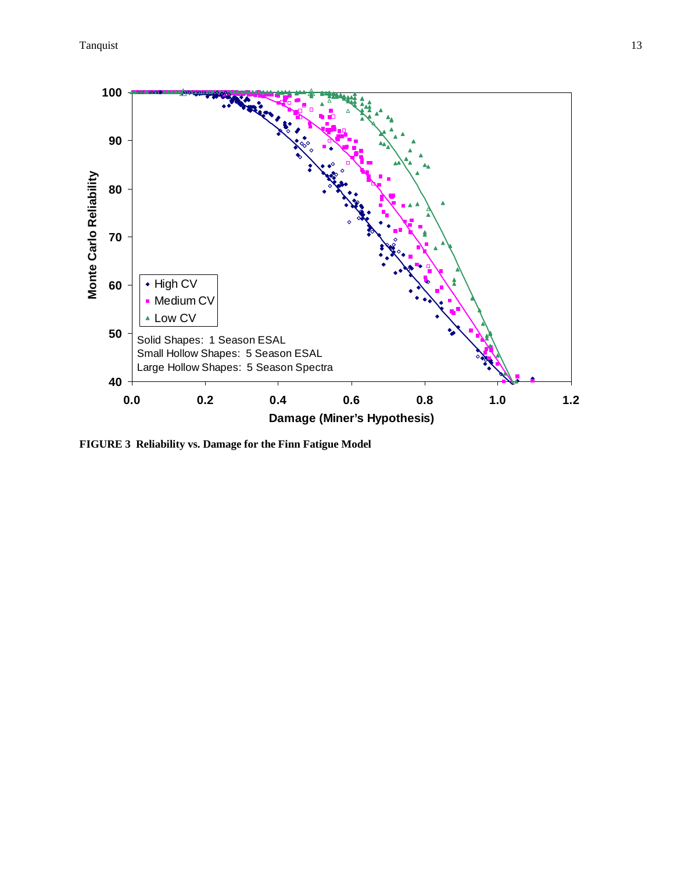Tanquist 13



**FIGURE 3 Reliability vs. Damage for the Finn Fatigue Model**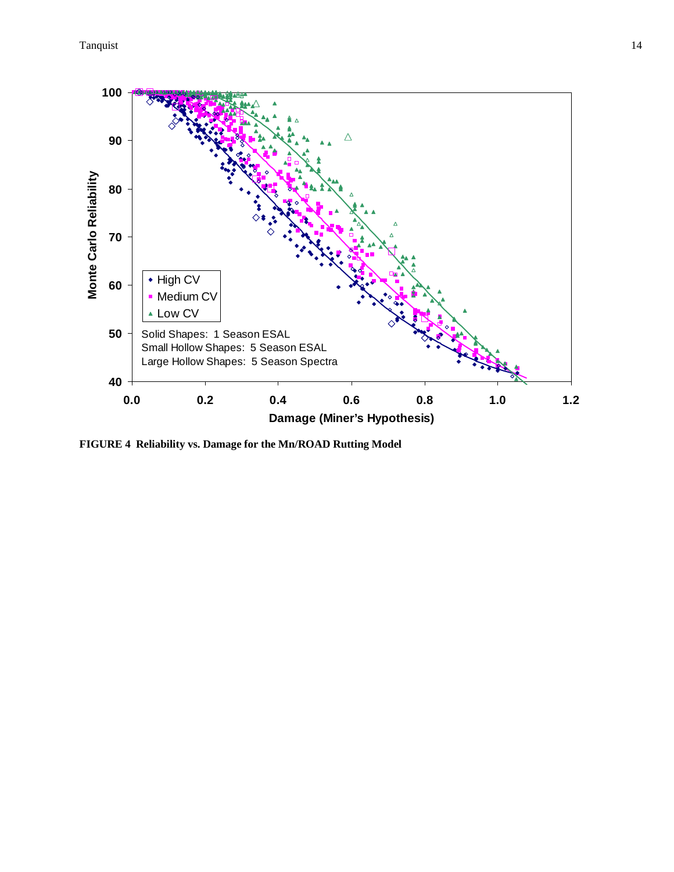Tanquist the contract of the contract of the contract of the contract of the contract of the contract of the contract of the contract of the contract of the contract of the contract of the contract of the contract of the c



**FIGURE 4 Reliability vs. Damage for the Mn/ROAD Rutting Model**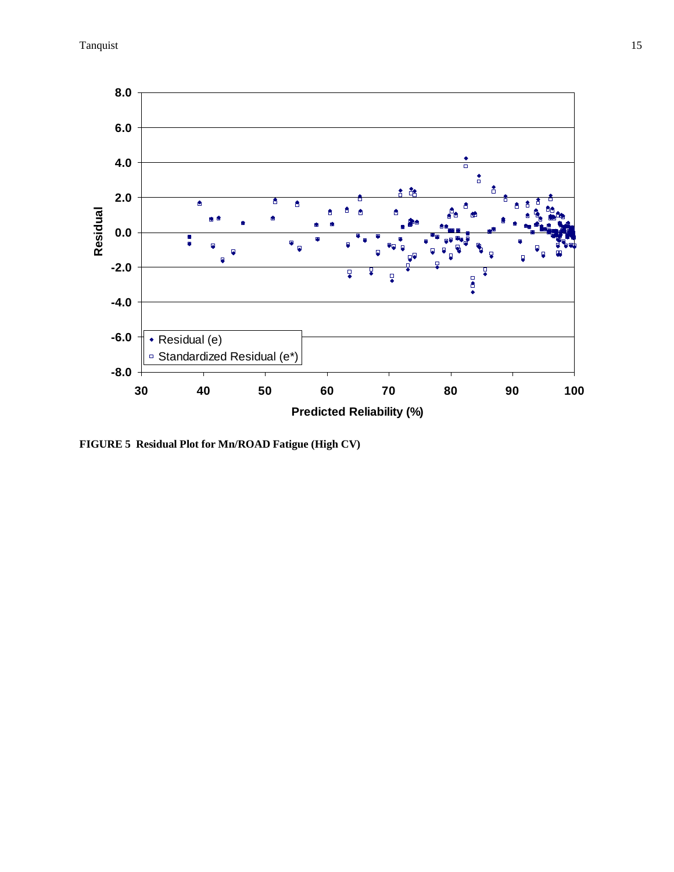

**FIGURE 5 Residual Plot for Mn/ROAD Fatigue (High CV)**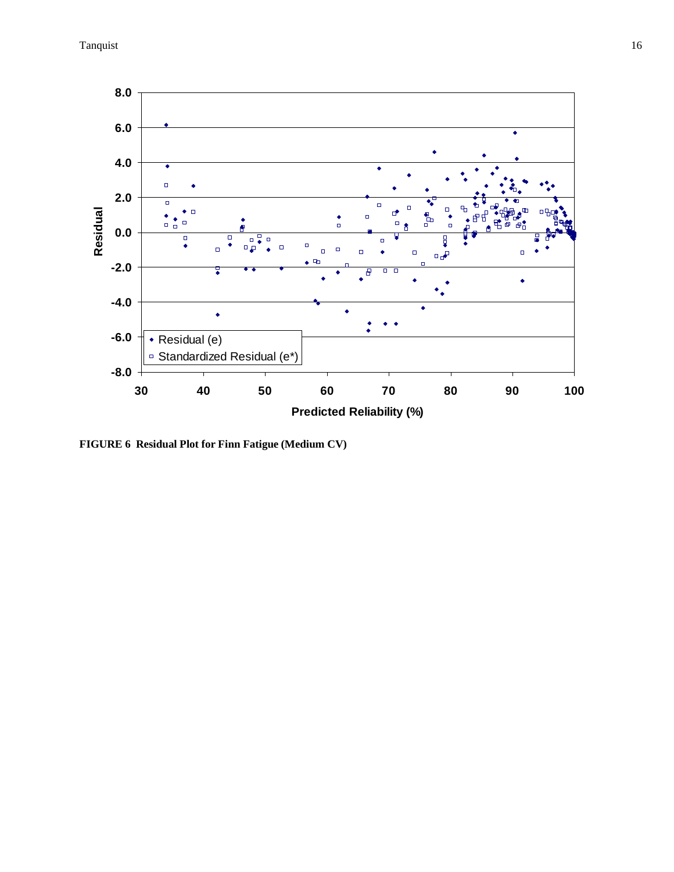Tanquist 16



**FIGURE 6 Residual Plot for Finn Fatigue (Medium CV)**